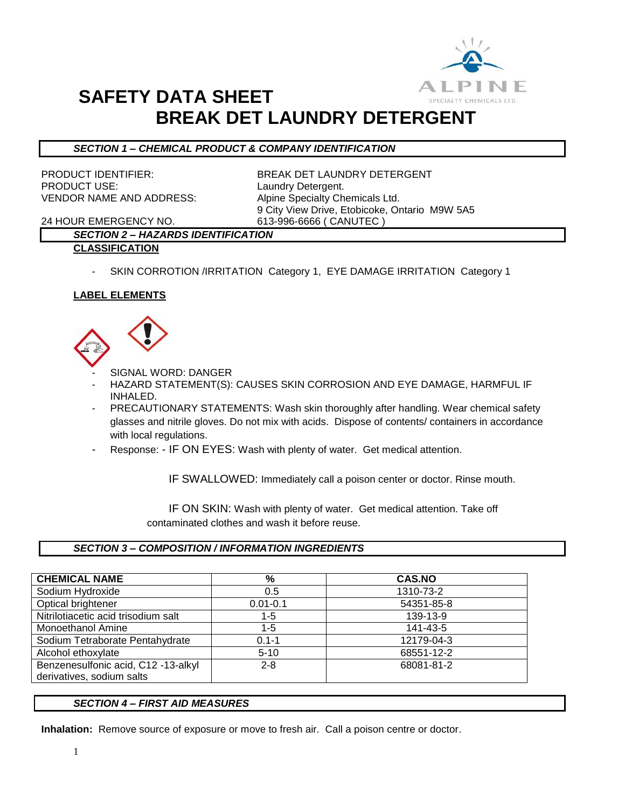

# **SAFETY DATA SHEET BREAK DET LAUNDRY DETERGENT**

## *SECTION 1 – CHEMICAL PRODUCT & COMPANY IDENTIFICATION*

PRODUCT USE: Laundry Detergent. VENDOR NAME AND ADDRESS: Alpine Specialty Chemicals Ltd.

PRODUCT IDENTIFIER: BREAK DET LAUNDRY DETERGENT 9 City View Drive, Etobicoke, Ontario M9W 5A5

24 HOUR EMERGENCY NO. 613-996-6666 ( CANUTEC )

## *SECTION 2 – HAZARDS IDENTIFICATION* **CLASSIFICATION**

- SKIN CORROTION /IRRITATION Category 1, EYE DAMAGE IRRITATION Category 1

## **LABEL ELEMENTS**



- SIGNAL WORD: DANGER
- HAZARD STATEMENT(S): CAUSES SKIN CORROSION AND EYE DAMAGE, HARMFUL IF INHALED.
- PRECAUTIONARY STATEMENTS: Wash skin thoroughly after handling. Wear chemical safety glasses and nitrile gloves. Do not mix with acids. Dispose of contents/ containers in accordance with local regulations.
- Response: IF ON EYES: Wash with plenty of water. Get medical attention.

IF SWALLOWED: Immediately call a poison center or doctor. Rinse mouth.

 IF ON SKIN: Wash with plenty of water. Get medical attention. Take off contaminated clothes and wash it before reuse.

## *SECTION 3 – COMPOSITION / INFORMATION INGREDIENTS*

| <b>CHEMICAL NAME</b>                | %            | <b>CAS.NO</b> |
|-------------------------------------|--------------|---------------|
| Sodium Hydroxide                    | 0.5          | 1310-73-2     |
| Optical brightener                  | $0.01 - 0.1$ | 54351-85-8    |
| Nitrilotiacetic acid trisodium salt | 1-5          | 139-13-9      |
| <b>Monoethanol Amine</b>            | $1 - 5$      | 141-43-5      |
| Sodium Tetraborate Pentahydrate     | $0.1 - 1$    | 12179-04-3    |
| Alcohol ethoxylate                  | $5 - 10$     | 68551-12-2    |
| Benzenesulfonic acid, C12 -13-alkyl | $2 - 8$      | 68081-81-2    |
| derivatives, sodium salts           |              |               |

### *SECTION 4 – FIRST AID MEASURES*

**Inhalation:** Remove source of exposure or move to fresh air. Call a poison centre or doctor.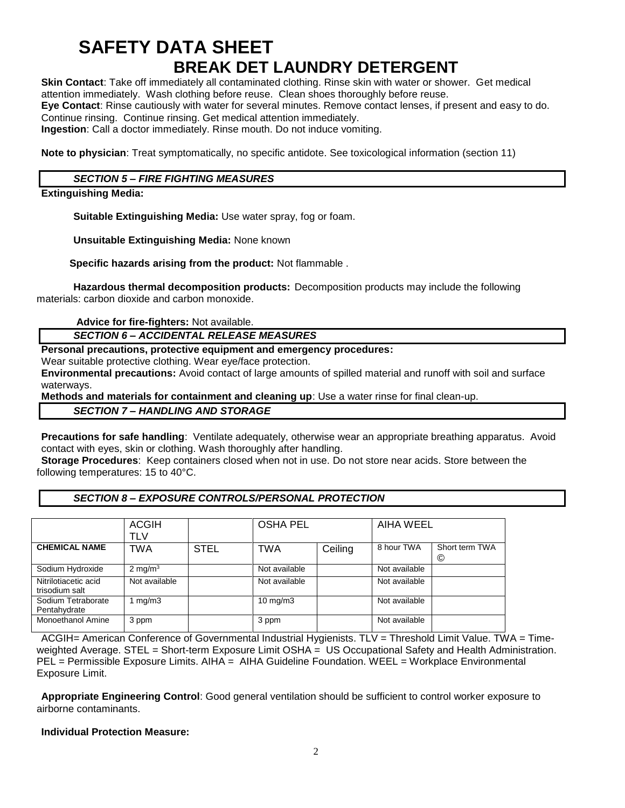## **SAFETY DATA SHEET BREAK DET LAUNDRY DETERGENT**

**Skin Contact**: Take off immediately all contaminated clothing. Rinse skin with water or shower. Get medical attention immediately. Wash clothing before reuse. Clean shoes thoroughly before reuse. **Eye Contact**: Rinse cautiously with water for several minutes. Remove contact lenses, if present and easy to do. Continue rinsing. Continue rinsing. Get medical attention immediately.

**Ingestion**: Call a doctor immediately. Rinse mouth. Do not induce vomiting.

**Note to physician**: Treat symptomatically, no specific antidote. See toxicological information (section 11)

## *SECTION 5 – FIRE FIGHTING MEASURES*

## **Extinguishing Media:**

**Suitable Extinguishing Media:** Use water spray, fog or foam.

**Unsuitable Extinguishing Media:** None known

 **Specific hazards arising from the product:** Not flammable .

**Hazardous thermal decomposition products:** Decomposition products may include the following materials: carbon dioxide and carbon monoxide.

**Advice for fire-fighters:** Not available.

*SECTION 6 – ACCIDENTAL RELEASE MEASURES*

#### **Personal precautions, protective equipment and emergency procedures:**

Wear suitable protective clothing. Wear eye/face protection.

**Environmental precautions:** Avoid contact of large amounts of spilled material and runoff with soil and surface waterways.

**Methods and materials for containment and cleaning up**: Use a water rinse for final clean-up.

#### *SECTION 7 – HANDLING AND STORAGE*

**Precautions for safe handling**: Ventilate adequately, otherwise wear an appropriate breathing apparatus. Avoid contact with eyes, skin or clothing. Wash thoroughly after handling.

**Storage Procedures**: Keep containers closed when not in use. Do not store near acids. Store between the following temperatures: 15 to 40°C.

### *SECTION 8 – EXPOSURE CONTROLS/PERSONAL PROTECTION*

|                                        | <b>ACGIH</b><br>TLV |             | <b>OSHA PEL</b>   |         | AIHA WEEL     |                     |
|----------------------------------------|---------------------|-------------|-------------------|---------|---------------|---------------------|
| <b>CHEMICAL NAME</b>                   | TWA                 | <b>STEL</b> | TWA               | Ceiling | 8 hour TWA    | Short term TWA<br>© |
| Sodium Hydroxide                       | $2 \text{ mg/m}^3$  |             | Not available     |         | Not available |                     |
| Nitrilotiacetic acid<br>trisodium salt | Not available       |             | Not available     |         | Not available |                     |
| Sodium Tetraborate<br>Pentahydrate     | 1 mg/m $3$          |             | $10 \text{ mg/m}$ |         | Not available |                     |
| <b>Monoethanol Amine</b>               | 3 ppm               |             | 3 ppm             |         | Not available |                     |

ACGIH= American Conference of Governmental Industrial Hygienists. TLV = Threshold Limit Value. TWA = Timeweighted Average. STEL = Short-term Exposure Limit OSHA = US Occupational Safety and Health Administration. PEL = Permissible Exposure Limits. AIHA = AIHA Guideline Foundation. WEEL = Workplace Environmental Exposure Limit.

**Appropriate Engineering Control**: Good general ventilation should be sufficient to control worker exposure to airborne contaminants.

### **Individual Protection Measure:**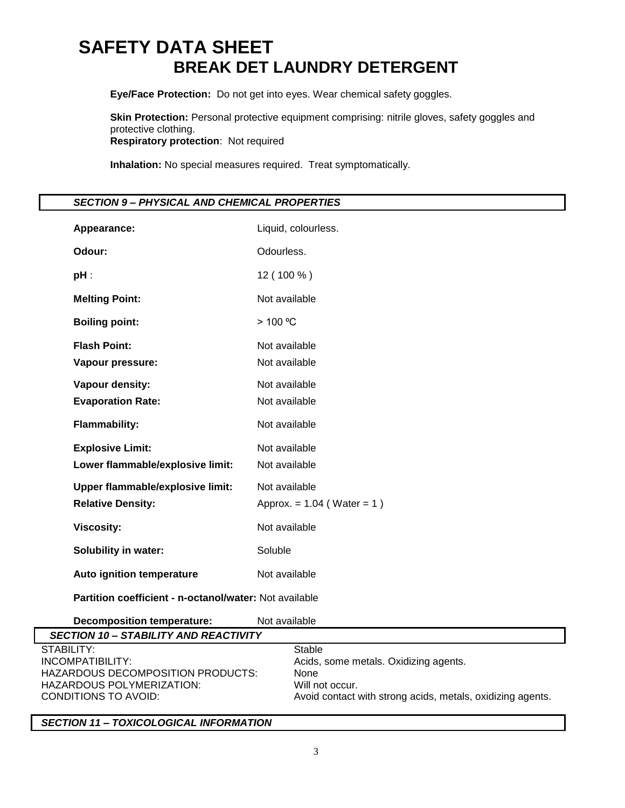# **SAFETY DATA SHEET BREAK DET LAUNDRY DETERGENT**

**Eye/Face Protection:** Do not get into eyes. Wear chemical safety goggles.

**Skin Protection:** Personal protective equipment comprising: nitrile gloves, safety goggles and protective clothing. **Respiratory protection**: Not required

**Inhalation:** No special measures required. Treat symptomatically.

|  |  | SECTION 9 – PHYSICAL AND CHEMICAL PROPERTIES |
|--|--|----------------------------------------------|
|  |  |                                              |

| Appearance:                                                 | Liquid, colourless.             |
|-------------------------------------------------------------|---------------------------------|
| Odour:                                                      | Odourless.                      |
| pH :                                                        | 12 (100 %)                      |
| <b>Melting Point:</b>                                       | Not available                   |
| <b>Boiling point:</b>                                       | > 100 °C                        |
| <b>Flash Point:</b><br>Vapour pressure:                     | Not available<br>Not available  |
| Vapour density:<br><b>Evaporation Rate:</b>                 | Not available<br>Not available  |
| <b>Flammability:</b>                                        | Not available                   |
| <b>Explosive Limit:</b><br>Lower flammable/explosive limit: | Not available<br>Not available  |
| Upper flammable/explosive limit:                            | Not available                   |
| <b>Relative Density:</b>                                    | Approx. = $1.04$ (Water = $1$ ) |
| <b>Viscosity:</b>                                           | Not available                   |
| <b>Solubility in water:</b>                                 | Soluble                         |
| Auto ignition temperature                                   | Not available                   |

**Partition coefficient - n-octanol/water:** Not available

**Decomposition temperature:** Not available

| <b>SECTION 10 – STABILITY AND REACTIVITY</b> |                                                            |
|----------------------------------------------|------------------------------------------------------------|
| STABILITY:                                   | Stable                                                     |
| INCOMPATIBILITY:                             | Acids, some metals. Oxidizing agents.                      |
| HAZARDOUS DECOMPOSITION PRODUCTS:            | None                                                       |
| HAZARDOUS POLYMERIZATION:                    | Will not occur.                                            |
| CONDITIONS TO AVOID:                         | Avoid contact with strong acids, metals, oxidizing agents. |
|                                              |                                                            |

ī

*SECTION 11 – TOXICOLOGICAL INFORMATION*